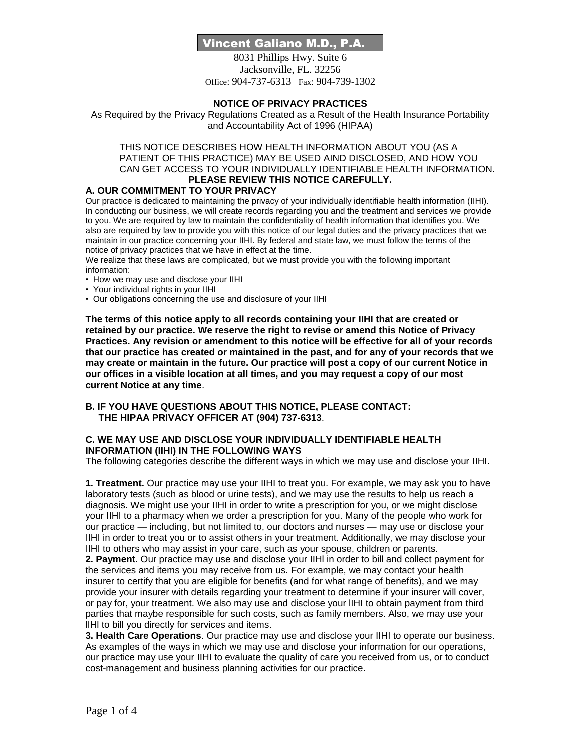# Vincent Galiano M.D., P.A.

8031 Phillips Hwy. Suite 6 Jacksonville, FL. 32256 Office: 904-737-6313 Fax: 904-739-1302

### **NOTICE OF PRIVACY PRACTICES**

As Required by the Privacy Regulations Created as a Result of the Health Insurance Portability and Accountability Act of 1996 (HIPAA)

#### THIS NOTICE DESCRIBES HOW HEALTH INFORMATION ABOUT YOU (AS A PATIENT OF THIS PRACTICE) MAY BE USED AIND DISCLOSED, AND HOW YOU CAN GET ACCESS TO YOUR INDIVIDUALLY IDENTIFIABLE HEALTH INFORMATION. **PLEASE REVIEW THIS NOTICE CAREFULLY.**

# **A. OUR COMMITMENT TO YOUR PRIVACY**

Our practice is dedicated to maintaining the privacy of your individually identifiable health information (IIHI). In conducting our business, we will create records regarding you and the treatment and services we provide to you. We are required by law to maintain the confidentiality of health information that identifies you. We also are required by law to provide you with this notice of our legal duties and the privacy practices that we maintain in our practice concerning your IIHI. By federal and state law, we must follow the terms of the notice of privacy practices that we have in effect at the time.

We realize that these laws are complicated, but we must provide you with the following important

- information:
- How we may use and disclose your IIHI
- Your individual rights in your IIHI
- Our obligations concerning the use and disclosure of your IIHI

**The terms of this notice apply to all records containing your IIHI that are created or retained by our practice. We reserve the right to revise or amend this Notice of Privacy Practices. Any revision or amendment to this notice will be effective for all of your records that our practice has created or maintained in the past, and for any of your records that we may create or maintain in the future. Our practice will post a copy of our current Notice in our offices in a visible location at all times, and you may request a copy of our most current Notice at any time**.

**B. IF YOU HAVE QUESTIONS ABOUT THIS NOTICE, PLEASE CONTACT: THE HIPAA PRIVACY OFFICER AT (904) 737-6313**.

### **C. WE MAY USE AND DISCLOSE YOUR INDIVIDUALLY IDENTIFIABLE HEALTH INFORMATION (IIHI) IN THE FOLLOWING WAYS**

The following categories describe the different ways in which we may use and disclose your IIHI.

**1. Treatment.** Our practice may use your IIHI to treat you. For example, we may ask you to have laboratory tests (such as blood or urine tests), and we may use the results to help us reach a diagnosis. We might use your IIHI in order to write a prescription for you, or we might disclose your IIHI to a pharmacy when we order a prescription for you. Many of the people who work for our practice — including, but not limited to, our doctors and nurses — may use or disclose your IIHI in order to treat you or to assist others in your treatment. Additionally, we may disclose your IIHI to others who may assist in your care, such as your spouse, children or parents.

**2. Payment.** Our practice may use and disclose your IIHl in order to bill and collect payment for the services and items you may receive from us. For example, we may contact your health insurer to certify that you are eligible for benefits (and for what range of benefits), and we may provide your insurer with details regarding your treatment to determine if your insurer will cover, or pay for, your treatment. We also may use and disclose your lIHI to obtain payment from third parties that maybe responsible for such costs, such as family members. Also, we may use your lIHl to bill you directly for services and items.

**3. Health Care Operations**. Our practice may use and disclose your IIHI to operate our business. As examples of the ways in which we may use and disclose your information for our operations, our practice may use your IIHI to evaluate the quality of care you received from us, or to conduct cost-management and business planning activities for our practice.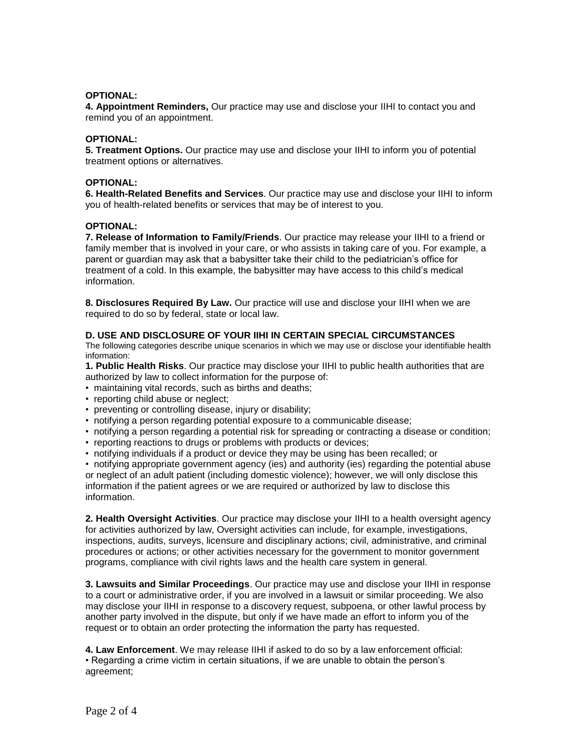### **OPTIONAL:**

**4. Appointment Reminders,** Our practice may use and disclose your IIHI to contact you and remind you of an appointment.

#### **OPTIONAL:**

**5. Treatment Options.** Our practice may use and disclose your IIHI to inform you of potential treatment options or alternatives.

#### **OPTIONAL:**

**6. Health-Related Benefits and Services**. Our practice may use and disclose your IIHI to inform you of health-related benefits or services that may be of interest to you.

#### **OPTIONAL:**

**7. Release of Information to Family/Friends**. Our practice may release your IIHI to a friend or family member that is involved in your care, or who assists in taking care of you. For example, a parent or guardian may ask that a babysitter take their child to the pediatrician's office for treatment of a cold. In this example, the babysitter may have access to this child's medical information.

**8. Disclosures Required By Law.** Our practice will use and disclose your IIHI when we are required to do so by federal, state or local law.

#### **D. USE AND DISCLOSURE OF YOUR IIHI IN CERTAIN SPECIAL CIRCUMSTANCES**

The following categories describe unique scenarios in which we may use or disclose your identifiable health information:

**1. Public Health Risks**. Our practice may disclose your IIHI to public health authorities that are authorized by law to collect information for the purpose of:

- maintaining vital records, such as births and deaths;
- reporting child abuse or neglect;
- preventing or controlling disease, injury or disability;
- notifying a person regarding potential exposure to a communicable disease;
- notifying a person regarding a potential risk for spreading or contracting a disease or condition;
- reporting reactions to drugs or problems with products or devices;
- notifying individuals if a product or device they may be using has been recalled; or

• notifying appropriate government agency (ies) and authority (ies) regarding the potential abuse or neglect of an adult patient (including domestic violence); however, we will only disclose this information if the patient agrees or we are required or authorized by law to disclose this information.

**2. Health Oversight Activities**. Our practice may disclose your IIHI to a health oversight agency for activities authorized by law, Oversight activities can include, for example, investigations, inspections, audits, surveys, licensure and disciplinary actions; civil, administrative, and criminal procedures or actions; or other activities necessary for the government to monitor government programs, compliance with civil rights laws and the health care system in general.

**3. Lawsuits and Similar Proceedings**. Our practice may use and disclose your IIHI in response to a court or administrative order, if you are involved in a lawsuit or similar proceeding. We also may disclose your IIHI in response to a discovery request, subpoena, or other lawful process by another party involved in the dispute, but only if we have made an effort to inform you of the request or to obtain an order protecting the information the party has requested.

**4. Law Enforcement**. We may release IIHI if asked to do so by a law enforcement official: • Regarding a crime victim in certain situations, if we are unable to obtain the person's agreement;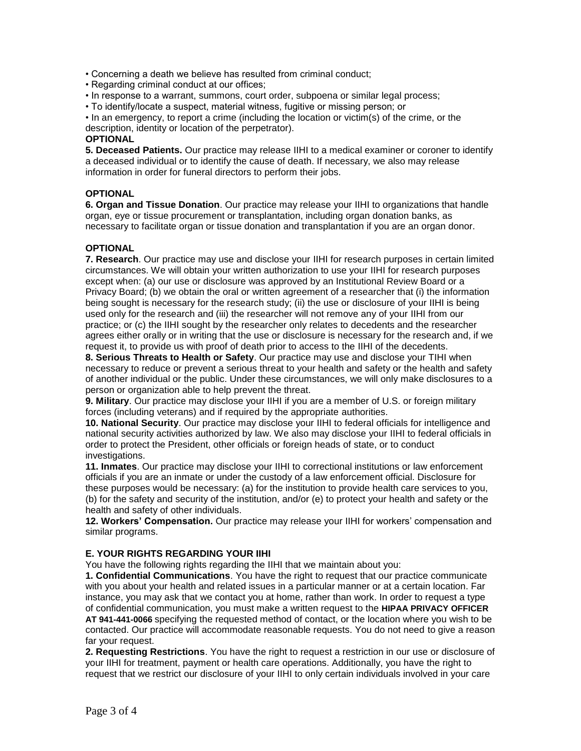• Concerning a death we believe has resulted from criminal conduct;

• Regarding criminal conduct at our offices;

• In response to a warrant, summons, court order, subpoena or similar legal process;

• To identify/locate a suspect, material witness, fugitive or missing person; or

• In an emergency, to report a crime (including the location or victim(s) of the crime, or the description, identity or location of the perpetrator).

### **OPTIONAL**

**5. Deceased Patients.** Our practice may release IIHI to a medical examiner or coroner to identify a deceased individual or to identify the cause of death. If necessary, we also may release information in order for funeral directors to perform their jobs.

# **OPTIONAL**

**6. Organ and Tissue Donation**. Our practice may release your IIHI to organizations that handle organ, eye or tissue procurement or transplantation, including organ donation banks, as necessary to facilitate organ or tissue donation and transplantation if you are an organ donor.

# **OPTIONAL**

**7. Research**. Our practice may use and disclose your IIHI for research purposes in certain limited circumstances. We will obtain your written authorization to use your IIHI for research purposes except when: (a) our use or disclosure was approved by an Institutional Review Board or a Privacy Board; (b) we obtain the oral or written agreement of a researcher that (i) the information being sought is necessary for the research study; (ii) the use or disclosure of your IIHI is being used only for the research and (iii) the researcher will not remove any of your IIHI from our practice; or (c) the IIHI sought by the researcher only relates to decedents and the researcher agrees either orally or in writing that the use or disclosure is necessary for the research and, if we request it, to provide us with proof of death prior to access to the IIHI of the decedents.

**8. Serious Threats to Health or Safety**. Our practice may use and disclose your TIHI when necessary to reduce or prevent a serious threat to your health and safety or the health and safety of another individual or the public. Under these circumstances, we will only make disclosures to a person or organization able to help prevent the threat.

**9. Military**. Our practice may disclose your IIHI if you are a member of U.S. or foreign military forces (including veterans) and if required by the appropriate authorities.

**10. National Security**. Our practice may disclose your IIHI to federal officials for intelligence and national security activities authorized by law. We also may disclose your IIHI to federal officials in order to protect the President, other officials or foreign heads of state, or to conduct investigations.

**11. Inmates**. Our practice may disclose your IIHI to correctional institutions or law enforcement officials if you are an inmate or under the custody of a law enforcement official. Disclosure for these purposes would be necessary: (a) for the institution to provide health care services to you, (b) for the safety and security of the institution, and/or (e) to protect your health and safety or the health and safety of other individuals.

**12. Workers' Compensation.** Our practice may release your IIHI for workers' compensation and similar programs.

# **E. YOUR RIGHTS REGARDING YOUR IIHI**

You have the following rights regarding the IIHI that we maintain about you:

**1. Confidential Communications**. You have the right to request that our practice communicate with you about your health and related issues in a particular manner or at a certain location. Far instance, you may ask that we contact you at home, rather than work. In order to request a type of confidential communication, you must make a written request to the **HIPAA PRIVACY OFFICER AT 941-441-0066** specifying the requested method of contact, or the location where you wish to be contacted. Our practice will accommodate reasonable requests. You do not need to give a reason far your request.

**2. Requesting Restrictions**. You have the right to request a restriction in our use or disclosure of your IIHI for treatment, payment or health care operations. Additionally, you have the right to request that we restrict our disclosure of your IIHI to only certain individuals involved in your care